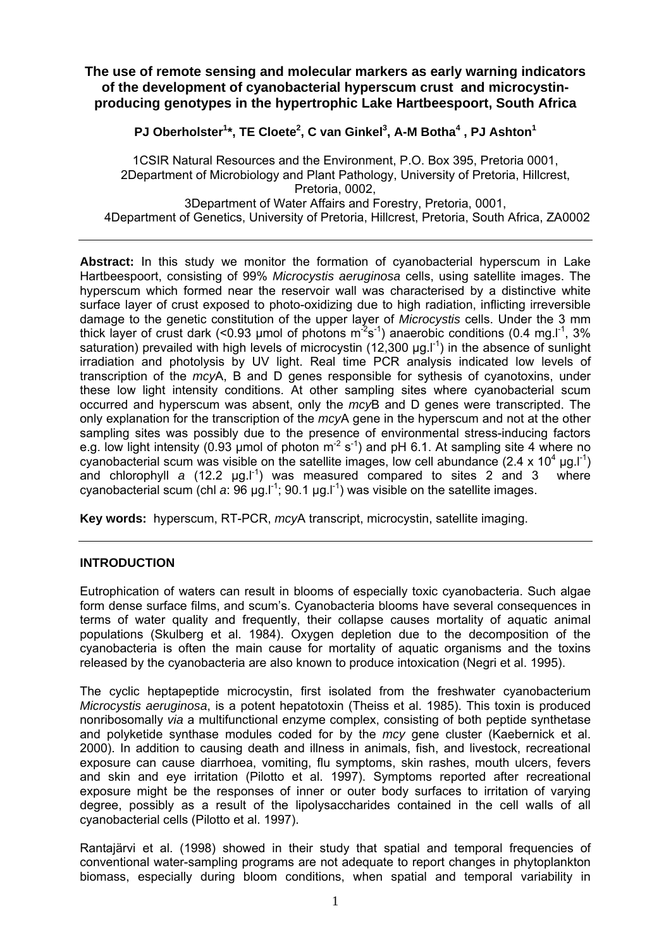# **The use of remote sensing and molecular markers as early warning indicators of the development of cyanobacterial hyperscum crust and microcystinproducing genotypes in the hypertrophic Lake Hartbeespoort, South Africa**

**PJ Oberholster1 \*, TE Cloete<sup>2</sup> , C van Ginkel<sup>3</sup> , A-M Botha<sup>4</sup> , PJ Ashton<sup>1</sup>**

1CSIR Natural Resources and the Environment, P.O. Box 395, Pretoria 0001, 2Department of Microbiology and Plant Pathology, University of Pretoria, Hillcrest, Pretoria, 0002, 3Department of Water Affairs and Forestry, Pretoria, 0001, 4Department of Genetics, University of Pretoria, Hillcrest, Pretoria, South Africa, ZA0002

**Abstract:** In this study we monitor the formation of cyanobacterial hyperscum in Lake Hartbeespoort, consisting of 99% *Microcystis aeruginosa* cells, using satellite images. The hyperscum which formed near the reservoir wall was characterised by a distinctive white surface layer of crust exposed to photo-oxidizing due to high radiation, inflicting irreversible damage to the genetic constitution of the upper layer of *Microcystis* cells. Under the 3 mm thick layer of crust dark (<0.93 µmol of photons  $m^2s^{-1}$ ) anaerobic conditions (0.4 mg.  $l^{-1}$ , 3% saturation) prevailed with high levels of microcystin (12,300  $\mu$ g.l<sup>-1</sup>) in the absence of sunlight irradiation and photolysis by UV light. Real time PCR analysis indicated low levels of transcription of the *mcy*A, B and D genes responsible for sythesis of cyanotoxins, under these low light intensity conditions. At other sampling sites where cyanobacterial scum occurred and hyperscum was absent, only the *mcy*B and D genes were transcripted. The only explanation for the transcription of the *mcy*A gene in the hyperscum and not at the other sampling sites was possibly due to the presence of environmental stress-inducing factors e.g. low light intensity (0.93 µmol of photon  $m^2$  s<sup>-1</sup>) and pH 6.1. At sampling site 4 where no cyanobacterial scum was visible on the satellite images, low cell abundance (2.4 x 10<sup>4</sup> µg.l<sup>-1</sup>) and chlorophyll *a* (12.2 µg.l<sup>-1</sup>) was measured compared to sites 2 and 3 where cyanobacterial scum (chl *a*: 96 µg.l<sup>-1</sup>; 90.1 µg.l<sup>-1</sup>) was visible on the satellite images.

**Key words:** hyperscum, RT-PCR, *mcy*A transcript, microcystin, satellite imaging.

#### **INTRODUCTION**

Eutrophication of waters can result in blooms of especially toxic cyanobacteria. Such algae form dense surface films, and scum's. Cyanobacteria blooms have several consequences in terms of water quality and frequently, their collapse causes mortality of aquatic animal populations (Skulberg et al. 1984). Oxygen depletion due to the decomposition of the cyanobacteria is often the main cause for mortality of aquatic organisms and the toxins released by the cyanobacteria are also known to produce intoxication (Negri et al. 1995).

The cyclic heptapeptide microcystin, first isolated from the freshwater cyanobacterium *Microcystis aeruginosa*, is a potent hepatotoxin (Theiss et al. 1985). This toxin is produced nonribosomally *via* a multifunctional enzyme complex, consisting of both peptide synthetase and polyketide synthase modules coded for by the *mcy* gene cluster (Kaebernick et al. 2000). In addition to causing death and illness in animals, fish, and livestock, recreational exposure can cause diarrhoea, vomiting, flu symptoms, skin rashes, mouth ulcers, fevers and skin and eye irritation (Pilotto et al. 1997). Symptoms reported after recreational exposure might be the responses of inner or outer body surfaces to irritation of varying degree, possibly as a result of the lipolysaccharides contained in the cell walls of all cyanobacterial cells (Pilotto et al. 1997).

Rantajärvi et al. (1998) showed in their study that spatial and temporal frequencies of conventional water-sampling programs are not adequate to report changes in phytoplankton biomass, especially during bloom conditions, when spatial and temporal variability in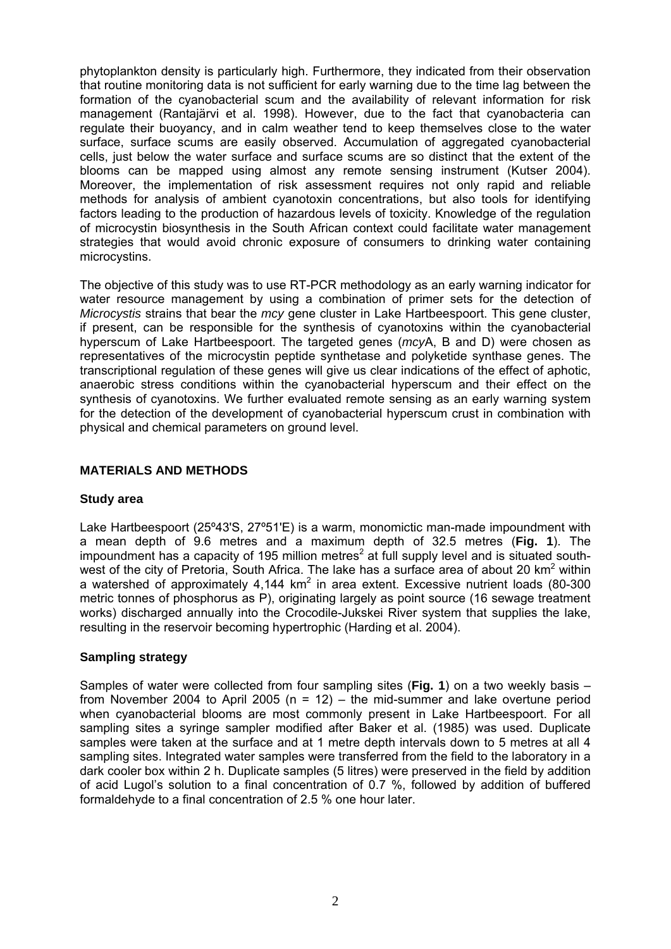phytoplankton density is particularly high. Furthermore, they indicated from their observation that routine monitoring data is not sufficient for early warning due to the time lag between the formation of the cyanobacterial scum and the availability of relevant information for risk management (Rantajärvi et al. 1998). However, due to the fact that cyanobacteria can regulate their buoyancy, and in calm weather tend to keep themselves close to the water surface, surface scums are easily observed. Accumulation of aggregated cyanobacterial cells, just below the water surface and surface scums are so distinct that the extent of the blooms can be mapped using almost any remote sensing instrument (Kutser 2004). Moreover, the implementation of risk assessment requires not only rapid and reliable methods for analysis of ambient cyanotoxin concentrations, but also tools for identifying factors leading to the production of hazardous levels of toxicity. Knowledge of the regulation of microcystin biosynthesis in the South African context could facilitate water management strategies that would avoid chronic exposure of consumers to drinking water containing microcystins.

The objective of this study was to use RT-PCR methodology as an early warning indicator for water resource management by using a combination of primer sets for the detection of *Microcystis* strains that bear the *mcy* gene cluster in Lake Hartbeespoort. This gene cluster, if present, can be responsible for the synthesis of cyanotoxins within the cyanobacterial hyperscum of Lake Hartbeespoort. The targeted genes (*mcy*A, B and D) were chosen as representatives of the microcystin peptide synthetase and polyketide synthase genes. The transcriptional regulation of these genes will give us clear indications of the effect of aphotic, anaerobic stress conditions within the cyanobacterial hyperscum and their effect on the synthesis of cyanotoxins. We further evaluated remote sensing as an early warning system for the detection of the development of cyanobacterial hyperscum crust in combination with physical and chemical parameters on ground level.

## **MATERIALS AND METHODS**

#### **Study area**

Lake Hartbeespoort (25º43'S, 27º51'E) is a warm, monomictic man-made impoundment with a mean depth of 9.6 metres and a maximum depth of 32.5 metres (**Fig. 1**). The impoundment has a capacity of 195 million metres<sup>2</sup> at full supply level and is situated southwest of the city of Pretoria, South Africa. The lake has a surface area of about 20 km<sup>2</sup> within a watershed of approximately  $4,144$  km<sup>2</sup> in area extent. Excessive nutrient loads (80-300 metric tonnes of phosphorus as P), originating largely as point source (16 sewage treatment works) discharged annually into the Crocodile-Jukskei River system that supplies the lake, resulting in the reservoir becoming hypertrophic (Harding et al. 2004).

# **Sampling strategy**

Samples of water were collected from four sampling sites (**Fig. 1**) on a two weekly basis – from November 2004 to April 2005 ( $n = 12$ ) – the mid-summer and lake overtune period when cyanobacterial blooms are most commonly present in Lake Hartbeespoort. For all sampling sites a syringe sampler modified after Baker et al. (1985) was used. Duplicate samples were taken at the surface and at 1 metre depth intervals down to 5 metres at all 4 sampling sites. Integrated water samples were transferred from the field to the laboratory in a dark cooler box within 2 h. Duplicate samples (5 litres) were preserved in the field by addition of acid Lugol's solution to a final concentration of 0.7 %, followed by addition of buffered formaldehyde to a final concentration of 2.5 % one hour later.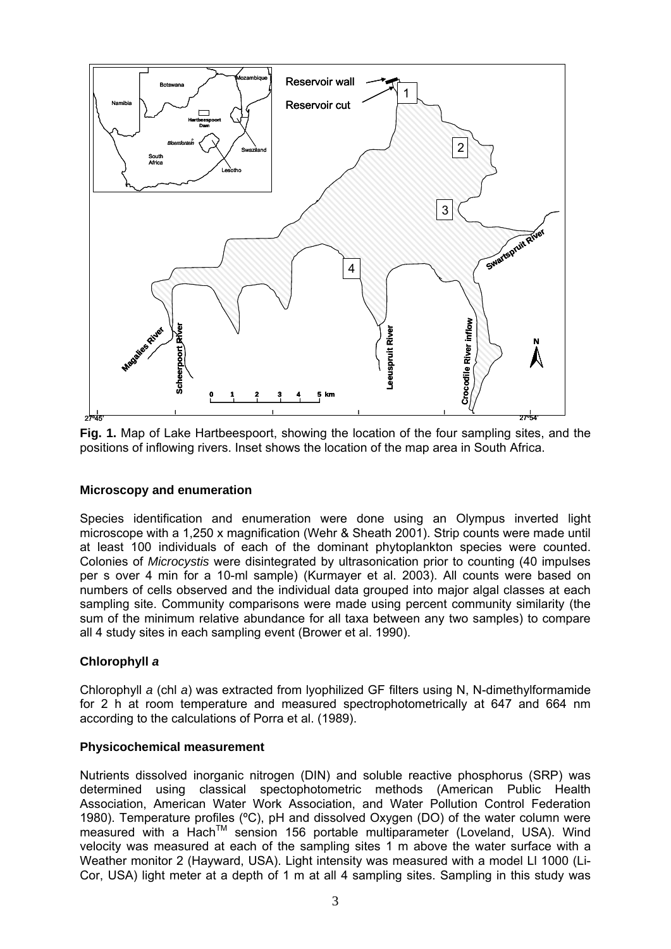

**Fig. 1.** Map of Lake Hartbeespoort, showing the location of the four sampling sites, and the positions of inflowing rivers. Inset shows the location of the map area in South Africa.

#### **Microscopy and enumeration**

Species identification and enumeration were done using an Olympus inverted light microscope with a 1,250 x magnification (Wehr & Sheath 2001). Strip counts were made until at least 100 individuals of each of the dominant phytoplankton species were counted. Colonies of *Microcystis* were disintegrated by ultrasonication prior to counting (40 impulses per s over 4 min for a 10-ml sample) (Kurmayer et al. 2003). All counts were based on numbers of cells observed and the individual data grouped into major algal classes at each sampling site. Community comparisons were made using percent community similarity (the sum of the minimum relative abundance for all taxa between any two samples) to compare all 4 study sites in each sampling event (Brower et al. 1990).

# **Chlorophyll** *a*

Chlorophyll *a* (chl *a*) was extracted from lyophilized GF filters using N, N-dimethylformamide for 2 h at room temperature and measured spectrophotometrically at 647 and 664 nm according to the calculations of Porra et al. (1989).

#### **Physicochemical measurement**

Nutrients dissolved inorganic nitrogen (DIN) and soluble reactive phosphorus (SRP) was determined using classical spectophotometric methods (American Public Health Association, American Water Work Association, and Water Pollution Control Federation 1980). Temperature profiles (ºC), pH and dissolved Oxygen (DO) of the water column were measured with a Hach™ sension 156 portable multiparameter (Loveland, USA). Wind velocity was measured at each of the sampling sites 1 m above the water surface with a Weather monitor 2 (Hayward, USA). Light intensity was measured with a model Ll 1000 (Li-Cor, USA) light meter at a depth of 1 m at all 4 sampling sites. Sampling in this study was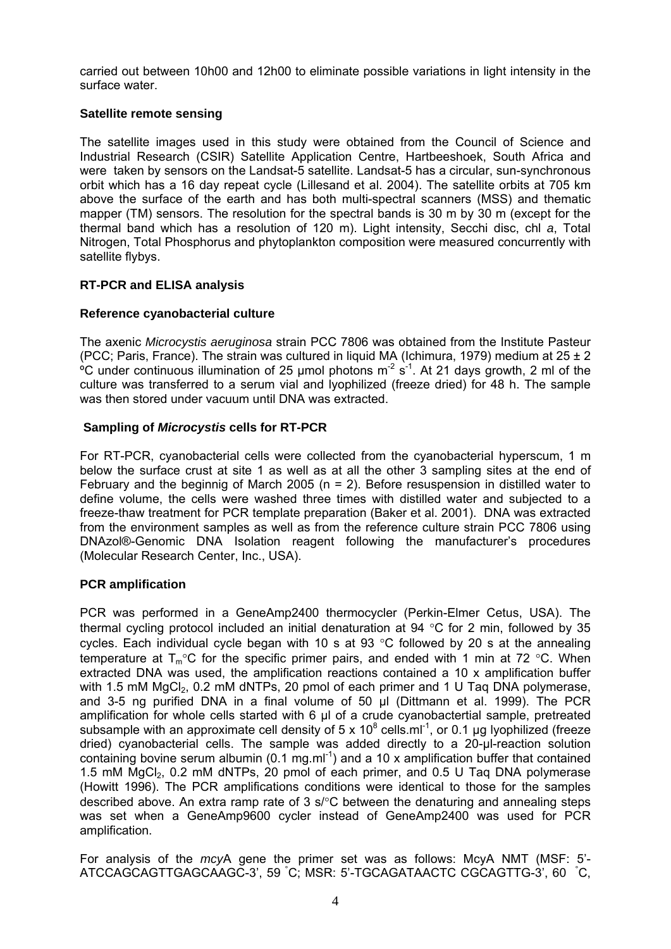carried out between 10h00 and 12h00 to eliminate possible variations in light intensity in the surface water.

## **Satellite remote sensing**

The satellite images used in this study were obtained from the Council of Science and Industrial Research (CSIR) Satellite Application Centre, Hartbeeshoek, South Africa and were taken by sensors on the Landsat-5 satellite. Landsat-5 has a circular, sun-synchronous orbit which has a 16 day repeat cycle (Lillesand et al. 2004). The satellite orbits at 705 km above the surface of the earth and has both multi-spectral scanners (MSS) and thematic mapper (TM) sensors. The resolution for the spectral bands is 30 m by 30 m (except for the thermal band which has a resolution of 120 m). Light intensity, Secchi disc, chl *a*, Total Nitrogen, Total Phosphorus and phytoplankton composition were measured concurrently with satellite flybys.

## **RT-PCR and ELISA analysis**

## **Reference cyanobacterial culture**

The axenic *Microcystis aeruginosa* strain PCC 7806 was obtained from the Institute Pasteur (PCC; Paris, France). The strain was cultured in liquid MA (Ichimura, 1979) medium at  $25 \pm 2$ <sup>o</sup>C under continuous illumination of 25 umol photons  $m^2 s^1$ . At 21 days growth, 2 ml of the culture was transferred to a serum vial and lyophilized (freeze dried) for 48 h. The sample was then stored under vacuum until DNA was extracted.

## **Sampling of** *Microcystis* **cells for RT-PCR**

For RT-PCR, cyanobacterial cells were collected from the cyanobacterial hyperscum, 1 m below the surface crust at site 1 as well as at all the other 3 sampling sites at the end of February and the beginnig of March 2005 ( $n = 2$ ). Before resuspension in distilled water to define volume, the cells were washed three times with distilled water and subjected to a freeze-thaw treatment for PCR template preparation (Baker et al. 2001). DNA was extracted from the environment samples as well as from the reference culture strain PCC 7806 using DNAzol®-Genomic DNA Isolation reagent following the manufacturer's procedures (Molecular Research Center, Inc., USA).

#### **PCR amplification**

PCR was performed in a GeneAmp2400 thermocycler (Perkin-Elmer Cetus, USA). The thermal cycling protocol included an initial denaturation at 94 °C for 2 min, followed by 35 cycles. Each individual cycle began with 10 s at 93 °C followed by 20 s at the annealing temperature at  $T_m$ °C for the specific primer pairs, and ended with 1 min at 72 °C. When extracted DNA was used, the amplification reactions contained a 10 x amplification buffer with 1.5 mM  $MqCl<sub>2</sub>$ , 0.2 mM dNTPs, 20 pmol of each primer and 1 U Taq DNA polymerase, and 3-5 ng purified DNA in a final volume of 50 µl (Dittmann et al. 1999). The PCR amplification for whole cells started with 6  $\mu$ l of a crude cyanobactertial sample, pretreated subsample with an approximate cell density of 5 x 10<sup>8</sup> cells.ml<sup>-1</sup>, or 0.1 µg lyophilized (freeze dried) cyanobacterial cells. The sample was added directly to a 20-µl-reaction solution containing bovine serum albumin (0.1 mg.ml<sup>-1</sup>) and a 10 x amplification buffer that contained 1.5 mM  $MqCl<sub>2</sub>$ , 0.2 mM dNTPs, 20 pmol of each primer, and 0.5 U Taq DNA polymerase (Howitt 1996). The PCR amplifications conditions were identical to those for the samples described above. An extra ramp rate of 3 s/°C between the denaturing and annealing steps was set when a GeneAmp9600 cycler instead of GeneAmp2400 was used for PCR amplification.

For analysis of the *mcy*A gene the primer set was as follows: McyA NMT (MSF: 5'- ATCCAGCAGTTGAGCAAGC-3', 59 ° C; MSR: 5'-TGCAGATAACTC CGCAGTTG-3', 60 ° C,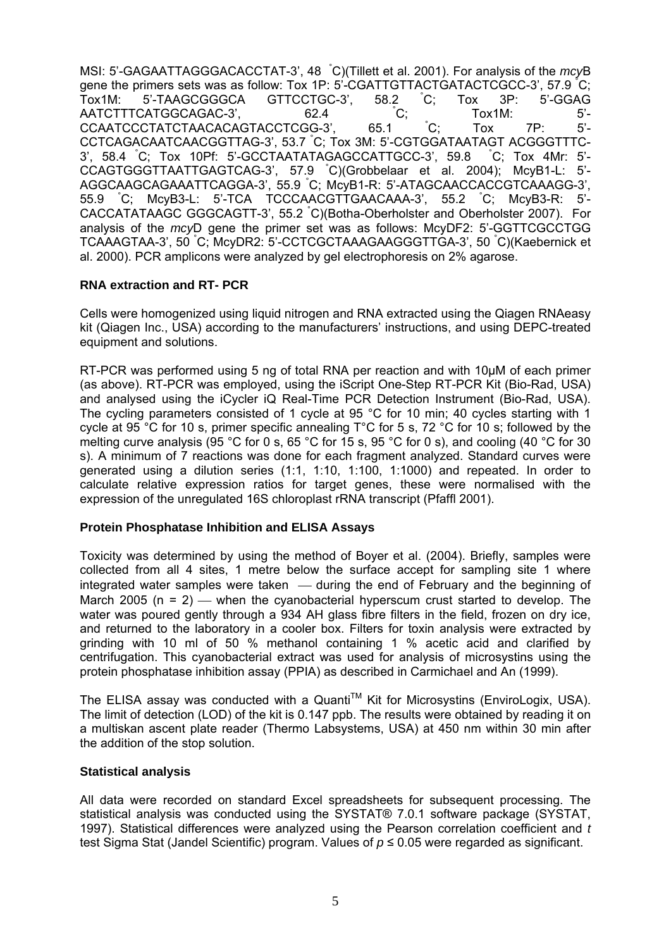MSI: 5'-GAGAATTAGGGACACCTAT-3', 48 ° C)(Tillett et al. 2001). For analysis of the *mcy*B gene the primers sets was as follow: Tox 1P: 5'-CGATTGTTACTGATACTCGCC-3', 57.9 ° C; Tox1M: 5'-TAAGCGGGCA GTTCCTGC-3', 58.2 °C; Tox 3P: 5'-GGAG AATCTTTCATGGCAGAC-3', 62.4 C;  $^{\circ}$ C: Tox1M: 5<sup>'</sup>-<br> $^{\circ}$ C: Tox 7P: 5<sup>'</sup>-CCAATCCCTATCTAACACAGTACCTCGG-3', 65.1 ° Tox 7P: 5'-CCTCAGACAATCAACGGTTAG-3', 53.7 ° C; Tox 3M: 5'-CGTGGATAATAGT ACGGGTTTC-3', 58.4 ° C; Tox 10Pf: 5'-GCCTAATATAGAGCCATTGCC-3', 59.8 °  $^{\circ}$ C; Tox 4Mr: 5'-CCAGTGGGTTAATTGAGTCAG-3', 57.9 ° C)(Grobbelaar et al. 2004); McyB1-L: 5'- AGGCAAGCAGAAATTCAGGA-3', 55.9 ° C; McyB1-R: 5'-ATAGCAACCACCGTCAAAGG-3', 55.9 ° C; McyB3-L: 5'-TCA TCCCAACGTTGAACAAA-3', 55.2<sup>\*</sup>  $^{\circ}$ C; McvB3-R: 5'-CACCATATAAGC GGGCAGTT-3', 55.2 ° C)(Botha-Oberholster and Oberholster 2007). For analysis of the *mcy*D gene the primer set was as follows: McyDF2: 5'-GGTTCGCCTGG TCAAAGTAA-3', 50 ° C; McyDR2: 5'-CCTCGCTAAAGAAGGGTTGA-3', 50 ° C)(Kaebernick et al. 2000). PCR amplicons were analyzed by gel electrophoresis on 2% agarose.

## **RNA extraction and RT- PCR**

Cells were homogenized using liquid nitrogen and RNA extracted using the Qiagen RNAeasy kit (Qiagen Inc., USA) according to the manufacturers' instructions, and using DEPC-treated equipment and solutions.

RT-PCR was performed using 5 ng of total RNA per reaction and with 10µM of each primer (as above). RT-PCR was employed, using the iScript One-Step RT-PCR Kit (Bio-Rad, USA) and analysed using the iCycler iQ Real-Time PCR Detection Instrument (Bio-Rad, USA). The cycling parameters consisted of 1 cycle at 95 °C for 10 min; 40 cycles starting with 1 cycle at 95 °C for 10 s, primer specific annealing T°C for 5 s, 72 °C for 10 s; followed by the melting curve analysis (95 °C for 0 s, 65 °C for 15 s, 95 °C for 0 s), and cooling (40 °C for 30 s). A minimum of 7 reactions was done for each fragment analyzed. Standard curves were generated using a dilution series (1:1, 1:10, 1:100, 1:1000) and repeated. In order to calculate relative expression ratios for target genes, these were normalised with the expression of the unregulated 16S chloroplast rRNA transcript (Pfaffl 2001).

#### **Protein Phosphatase Inhibition and ELISA Assays**

Toxicity was determined by using the method of Boyer et al. (2004). Briefly, samples were collected from all 4 sites, 1 metre below the surface accept for sampling site 1 where integrated water samples were taken  $-$  during the end of February and the beginning of March 2005 ( $n = 2$ ) — when the cyanobacterial hyperscum crust started to develop. The water was poured gently through a 934 AH glass fibre filters in the field, frozen on dry ice, and returned to the laboratory in a cooler box. Filters for toxin analysis were extracted by grinding with 10 ml of 50 % methanol containing 1 % acetic acid and clarified by centrifugation. This cyanobacterial extract was used for analysis of microsystins using the protein phosphatase inhibition assay (PPIA) as described in Carmichael and An (1999).

The ELISA assay was conducted with a Quanti™ Kit for Microsystins (EnviroLogix, USA). The limit of detection (LOD) of the kit is 0.147 ppb. The results were obtained by reading it on a multiskan ascent plate reader (Thermo Labsystems, USA) at 450 nm within 30 min after the addition of the stop solution.

#### **Statistical analysis**

All data were recorded on standard Excel spreadsheets for subsequent processing. The statistical analysis was conducted using the SYSTAT® 7.0.1 software package (SYSTAT, 1997). Statistical differences were analyzed using the Pearson correlation coefficient and *t*  test Sigma Stat (Jandel Scientific) program. Values of *p* ≤ 0.05 were regarded as significant.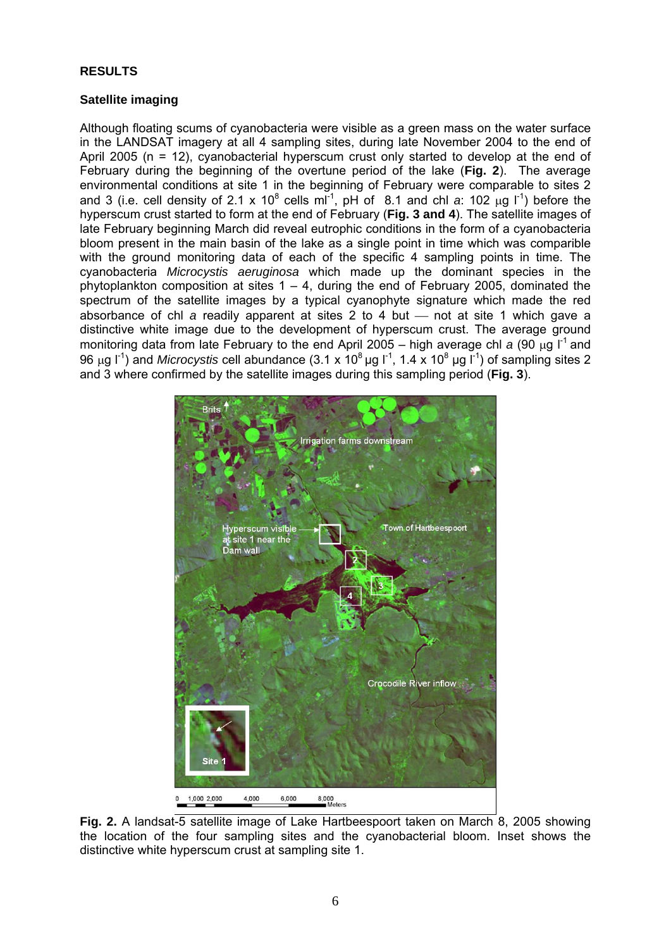### **RESULTS**

### **Satellite imaging**

Although floating scums of cyanobacteria were visible as a green mass on the water surface in the LANDSAT imagery at all 4 sampling sites, during late November 2004 to the end of April 2005 (n = 12), cyanobacterial hyperscum crust only started to develop at the end of February during the beginning of the overtune period of the lake (**Fig. 2**). The average environmental conditions at site 1 in the beginning of February were comparable to sites 2 and 3 (i.e. cell density of 2.1 x 10<sup>8</sup> cells ml<sup>-1</sup>, pH of 8.1 and chl *a*: 102  $\mu$ g l<sup>-1</sup>) before the hyperscum crust started to form at the end of February (**Fig. 3 and 4**). The satellite images of late February beginning March did reveal eutrophic conditions in the form of a cyanobacteria bloom present in the main basin of the lake as a single point in time which was comparible with the ground monitoring data of each of the specific 4 sampling points in time. The cyanobacteria *Microcystis aeruginosa* which made up the dominant species in the phytoplankton composition at sites  $1 - 4$ , during the end of February 2005, dominated the spectrum of the satellite images by a typical cyanophyte signature which made the red absorbance of chl  $\alpha$  readily apparent at sites 2 to 4 but  $-$  not at site 1 which gave a distinctive white image due to the development of hyperscum crust. The average ground monitoring data from late February to the end April 2005 – high average chl a (90 μg l<sup>-1</sup> and 96 μg l<sup>-1</sup>) and *Microcystis* cell abundance (3.1 x 10<sup>8</sup> μg l<sup>-1</sup>, 1.4 x 10<sup>8</sup> μg l<sup>-1</sup>) of sampling sites 2 and 3 where confirmed by the satellite images during this sampling period (**Fig. 3**).



**Fig. 2.** A landsat-5 satellite image of Lake Hartbeespoort taken on March 8, 2005 showing the location of the four sampling sites and the cyanobacterial bloom. Inset shows the distinctive white hyperscum crust at sampling site 1.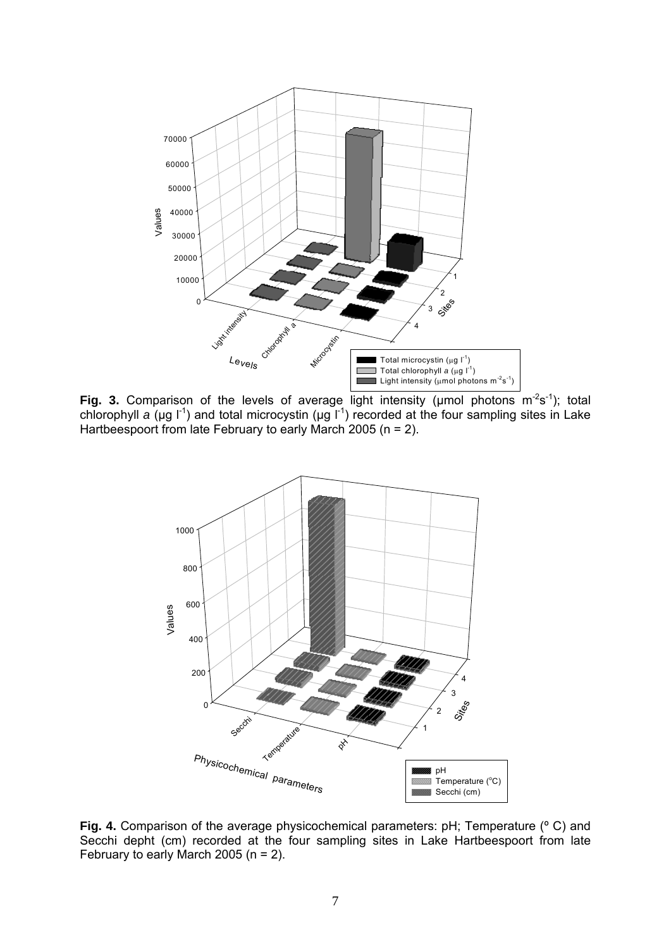

**Fig. 3.** Comparison of the levels of average light intensity ( $\mu$ mol photons  $m^2s^{-1}$ ); total chlorophyll *a* (µg l<sup>-1</sup>) and total microcystin (µg l<sup>-1</sup>) recorded at the four sampling sites in Lake Hartbeespoort from late February to early March 2005 (n = 2).



**Fig. 4.** Comparison of the average physicochemical parameters: pH; Temperature (º C) and Secchi depht (cm) recorded at the four sampling sites in Lake Hartbeespoort from late February to early March 2005 ( $n = 2$ ).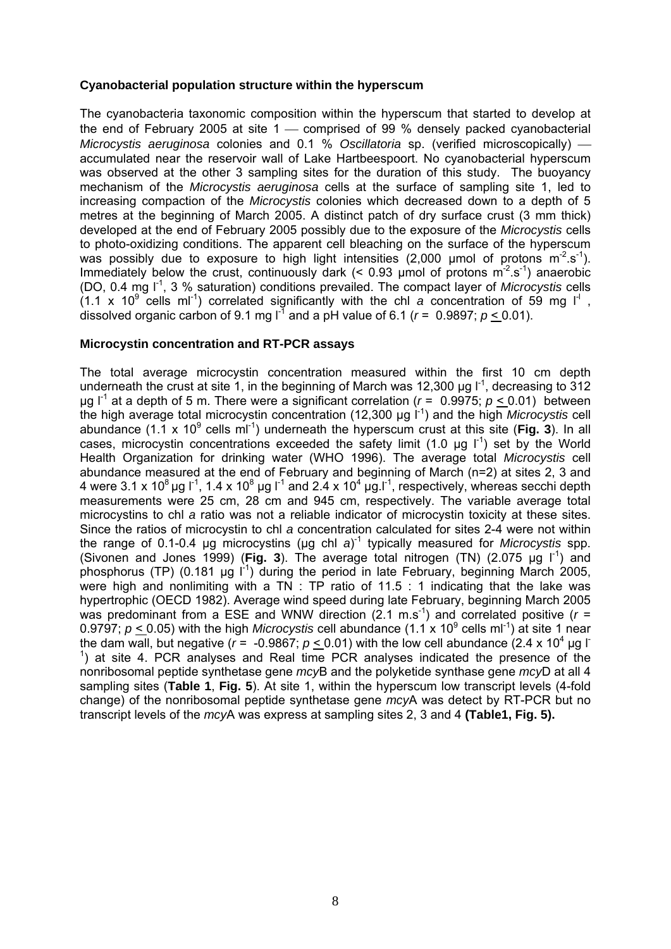#### **Cyanobacterial population structure within the hyperscum**

The cyanobacteria taxonomic composition within the hyperscum that started to develop at the end of February 2005 at site  $1 -$  comprised of 99 % densely packed cyanobacterial *Microcystis aeruginosa* colonies and 0.1 % *Oscillatoria* sp. (verified microscopically) accumulated near the reservoir wall of Lake Hartbeespoort. No cyanobacterial hyperscum was observed at the other 3 sampling sites for the duration of this study. The buoyancy mechanism of the *Microcystis aeruginosa* cells at the surface of sampling site 1, led to increasing compaction of the *Microcystis* colonies which decreased down to a depth of 5 metres at the beginning of March 2005. A distinct patch of dry surface crust (3 mm thick) developed at the end of February 2005 possibly due to the exposure of the *Microcystis* cells to photo-oxidizing conditions. The apparent cell bleaching on the surface of the hyperscum was possibly due to exposure to high light intensities (2,000 µmol of protons  $m^2 \text{.} \text{s}^{-1}$ ). Immediately below the crust, continuously dark (< 0.93 µmol of protons  $m^2$  s<sup>-1</sup>) anaerobic (DO, 0.4 mg l-1, 3 % saturation) conditions prevailed. The compact layer of *Microcystis* cells  $(1.1 \times 10^9 \text{ cells m}^{-1})$  correlated significantly with the chl *a* concentration of 59 mg  $I^{\dagger}$ , dissolved organic carbon of 9.1 mg  $I^3$  and a pH value of 6.1 ( $r = 0.9897$ ;  $p < 0.01$ ).

#### **Microcystin concentration and RT-PCR assays**

The total average microcystin concentration measured within the first 10 cm depth underneath the crust at site 1, in the beginning of March was 12,300  $\mu$ g  $I^{-1}$ , decreasing to 312  $\mu$ g l<sup>-1</sup> at a depth of 5 m. There were a significant correlation ( $r = 0.9975$ ;  $p < 0.01$ ) between the high average total microcystin concentration (12,300 µg l-1) and the high *Microcystis* cell abundance (1.1 x 10<sup>9</sup> cells ml<sup>-1</sup>) underneath the hyperscum crust at this site (Fig. 3). In all cases, microcystin concentrations exceeded the safety limit (1.0  $\mu$ g l<sup>-1</sup>) set by the World Health Organization for drinking water (WHO 1996). The average total *Microcystis* cell abundance measured at the end of February and beginning of March (n=2) at sites 2, 3 and 4 were 3.1 x 10<sup>8</sup> µg  $\mathsf{I}^1$ , 1.4 x 10<sup>8</sup> µg  $\mathsf{I}^1$  and 2.4 x 10<sup>4</sup> µg  $\mathsf{I}^1$ , respectively, whereas secchi depth measurements were 25 cm, 28 cm and 945 cm, respectively. The variable average total microcystins to chl *a* ratio was not a reliable indicator of microcystin toxicity at these sites. Since the ratios of microcystin to chl *a* concentration calculated for sites 2-4 were not within the range of 0.1-0.4 µg microcystins (µg chl *a*) -1 typically measured for *Microcystis* spp. (Sivonen and Jones 1999) (Fig. 3). The average total nitrogen (TN)  $(2.075 \mu g I^{-1})$  and phosphorus (TP) (0.181 µg  $\vert$ <sup>1</sup>) during the period in late February, beginning March 2005, were high and nonlimiting with a TN : TP ratio of 11.5 : 1 indicating that the lake was hypertrophic (OECD 1982). Average wind speed during late February, beginning March 2005 was predominant from a ESE and WNW direction  $(2.1 \text{ m.s}^{-1})$  and correlated positive  $(r =$ 0.9797;  $p \le 0.05$ ) with the high *Microcystis* cell abundance (1.1 x 10<sup>9</sup> cells ml<sup>-1</sup>) at site 1 near the dam wall, but negative ( $r = -0.9867$ ;  $p \le 0.01$ ) with the low cell abundance (2.4 x 10<sup>4</sup> µg l<sup>-</sup>  $<sup>1</sup>$ ) at site 4. PCR analyses and Real time PCR analyses indicated the presence of the</sup> nonribosomal peptide synthetase gene *mcy*B and the polyketide synthase gene *mcy*D at all 4 sampling sites (**Table 1**, **Fig. 5**). At site 1, within the hyperscum low transcript levels (4-fold change) of the nonribosomal peptide synthetase gene *mcy*A was detect by RT-PCR but no transcript levels of the *mcy*A was express at sampling sites 2, 3 and 4 **(Table1, Fig. 5).**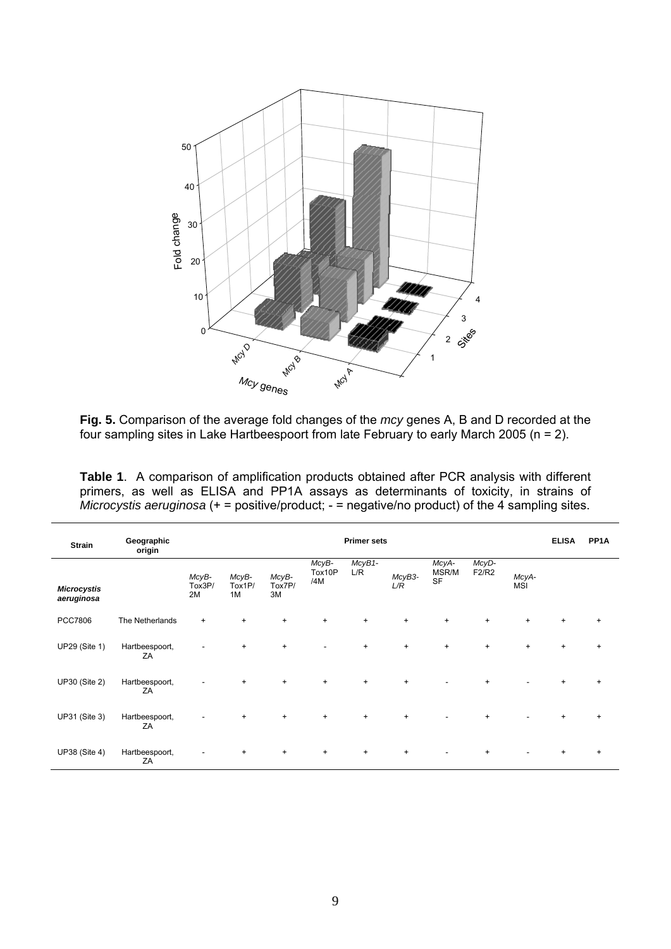

**Fig. 5.** Comparison of the average fold changes of the *mcy* genes A, B and D recorded at the four sampling sites in Lake Hartbeespoort from late February to early March 2005 (n = 2).

**Table 1**. A comparison of amplification products obtained after PCR analysis with different primers, as well as ELISA and PP1A assays as determinants of toxicity, in strains of *Microcystis aeruginosa* (+ = positive/product; - = negative/no product) of the 4 sampling sites.

| Strain                           | Geographic<br>origin | <b>Primer sets</b>    |                       |                       |                        |               |               |                             |                |                     |           | PP <sub>1</sub> A |
|----------------------------------|----------------------|-----------------------|-----------------------|-----------------------|------------------------|---------------|---------------|-----------------------------|----------------|---------------------|-----------|-------------------|
| <b>Microcystis</b><br>aeruginosa |                      | McyB-<br>Tox3P/<br>2M | McyB-<br>Tox1P/<br>1M | McyB-<br>Tox7P/<br>3M | McyB-<br>Tox10P<br>/4M | McyB1-<br>L/R | McyB3-<br>L/R | McyA-<br>MSR/M<br><b>SF</b> | McyD-<br>F2/R2 | McyA-<br><b>MSI</b> |           |                   |
| <b>PCC7806</b>                   | The Netherlands      | $\ddot{}$             | $+$                   | $+$                   | $+$                    | $+$           | $\ddot{}$     | $+$                         | $+$            | $\ddot{}$           | $\ddot{}$ | $+$               |
| <b>UP29 (Site 1)</b>             | Hartbeespoort,<br>ZA |                       | $+$                   | $+$                   |                        | $+$           | $\ddot{}$     | $\ddot{}$                   | $+$            | $\ddot{}$           | $\ddot{}$ | $\ddot{}$         |
| <b>UP30 (Site 2)</b>             | Hartbeespoort,<br>ZA |                       | $+$                   | $+$                   | $+$                    | $\ddot{}$     | $\ddot{}$     |                             | $+$            |                     | $+$       | $+$               |
| <b>UP31 (Site 3)</b>             | Hartbeespoort,<br>ZA |                       | $+$                   | $+$                   | $+$                    | $\ddot{}$     | $\ddot{}$     |                             | $+$            |                     | $+$       | $+$               |
| <b>UP38 (Site 4)</b>             | Hartbeespoort,<br>ZA |                       | $+$                   | $+$                   | $\ddot{}$              | $\ddot{}$     | $\ddot{}$     |                             | $+$            |                     | $+$       | $\ddot{}$         |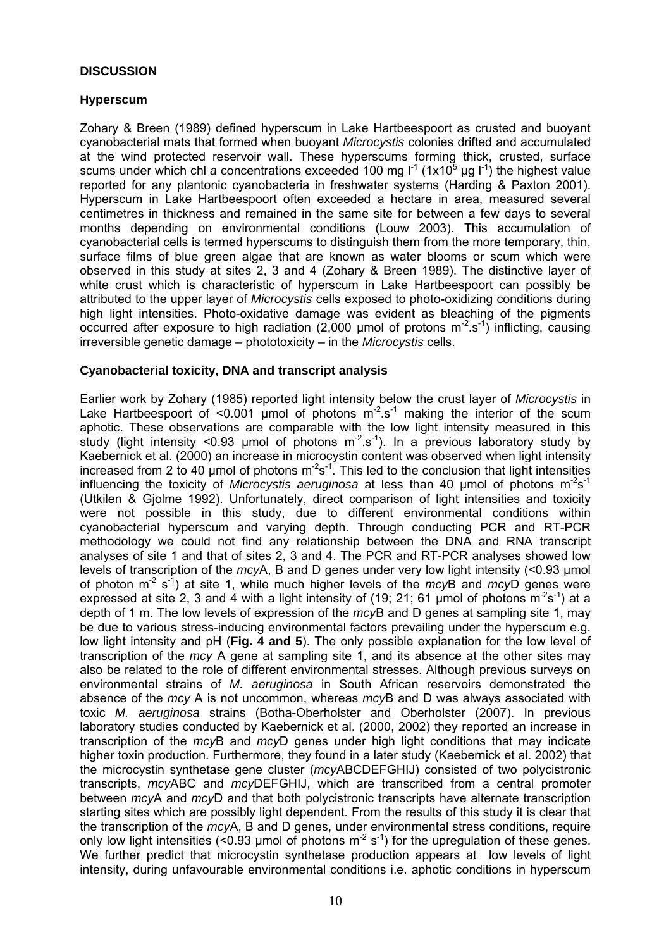#### **DISCUSSION**

### **Hyperscum**

Zohary & Breen (1989) defined hyperscum in Lake Hartbeespoort as crusted and buoyant cyanobacterial mats that formed when buoyant *Microcystis* colonies drifted and accumulated at the wind protected reservoir wall. These hyperscums forming thick, crusted, surface scums under which chl *a* concentrations exceeded 100 mg  $I^1$  (1x10<sup>5</sup> µg  $I^1$ ) the highest value reported for any plantonic cyanobacteria in freshwater systems (Harding & Paxton 2001). Hyperscum in Lake Hartbeespoort often exceeded a hectare in area, measured several centimetres in thickness and remained in the same site for between a few days to several months depending on environmental conditions (Louw 2003). This accumulation of cyanobacterial cells is termed hyperscums to distinguish them from the more temporary, thin, surface films of blue green algae that are known as water blooms or scum which were observed in this study at sites 2, 3 and 4 (Zohary & Breen 1989). The distinctive layer of white crust which is characteristic of hyperscum in Lake Hartbeespoort can possibly be attributed to the upper layer of *Microcystis* cells exposed to photo-oxidizing conditions during high light intensities. Photo-oxidative damage was evident as bleaching of the pigments occurred after exposure to high radiation (2,000 µmol of protons  $m<sup>-2</sup>$  s<sup>-1</sup>) inflicting, causing irreversible genetic damage – phototoxicity – in the *Microcystis* cells.

## **Cyanobacterial toxicity, DNA and transcript analysis**

Earlier work by Zohary (1985) reported light intensity below the crust layer of *Microcystis* in Lake Hartbeespoort of <0.001 µmol of photons  $m^2$  s<sup>1</sup> making the interior of the scum aphotic. These observations are comparable with the low light intensity measured in this study (light intensity <0.93 µmol of photons  $m^2$  s<sup>-1</sup>). In a previous laboratory study by Kaebernick et al. (2000) an increase in microcystin content was observed when light intensity increased from 2 to 40 µmol of photons  $m^2s^{-1}$ . This led to the conclusion that light intensities influencing the toxicity of *Microcystis aeruginosa* at less than 40 µmol of photons  $m^2s^{-1}$ (Utkilen & Gjolme 1992). Unfortunately, direct comparison of light intensities and toxicity were not possible in this study, due to different environmental conditions within cyanobacterial hyperscum and varying depth. Through conducting PCR and RT-PCR methodology we could not find any relationship between the DNA and RNA transcript analyses of site 1 and that of sites 2, 3 and 4. The PCR and RT-PCR analyses showed low levels of transcription of the *mcy*A, B and D genes under very low light intensity (<0.93 µmol of photon m-2 s-1) at site 1, while much higher levels of the *mcy*B and *mcy*D genes were expressed at site 2, 3 and 4 with a light intensity of (19; 21; 61 µmol of photons  $m^2s^{-1}$ ) at a depth of 1 m. The low levels of expression of the *mcy*B and D genes at sampling site 1, may be due to various stress-inducing environmental factors prevailing under the hyperscum e.g. low light intensity and pH (**Fig. 4 and 5**). The only possible explanation for the low level of transcription of the *mcy* A gene at sampling site 1, and its absence at the other sites may also be related to the role of different environmental stresses. Although previous surveys on environmental strains of *M. aeruginosa* in South African reservoirs demonstrated the absence of the *mcy* A is not uncommon, whereas *mcy*B and D was always associated with toxic *M. aeruginosa* strains (Botha-Oberholster and Oberholster (2007). In previous laboratory studies conducted by Kaebernick et al. (2000, 2002) they reported an increase in transcription of the *mcy*B and *mcy*D genes under high light conditions that may indicate higher toxin production. Furthermore, they found in a later study (Kaebernick et al. 2002) that the microcystin synthetase gene cluster (*mcy*ABCDEFGHIJ) consisted of two polycistronic transcripts, *mcy*ABC and *mcy*DEFGHIJ, which are transcribed from a central promoter between *mcy*A and *mcy*D and that both polycistronic transcripts have alternate transcription starting sites which are possibly light dependent. From the results of this study it is clear that the transcription of the *mcy*A, B and D genes, under environmental stress conditions, require only low light intensities (<0.93 µmol of photons  $m^2$  s<sup>-1</sup>) for the upregulation of these genes. We further predict that microcystin synthetase production appears at low levels of light intensity, during unfavourable environmental conditions i.e. aphotic conditions in hyperscum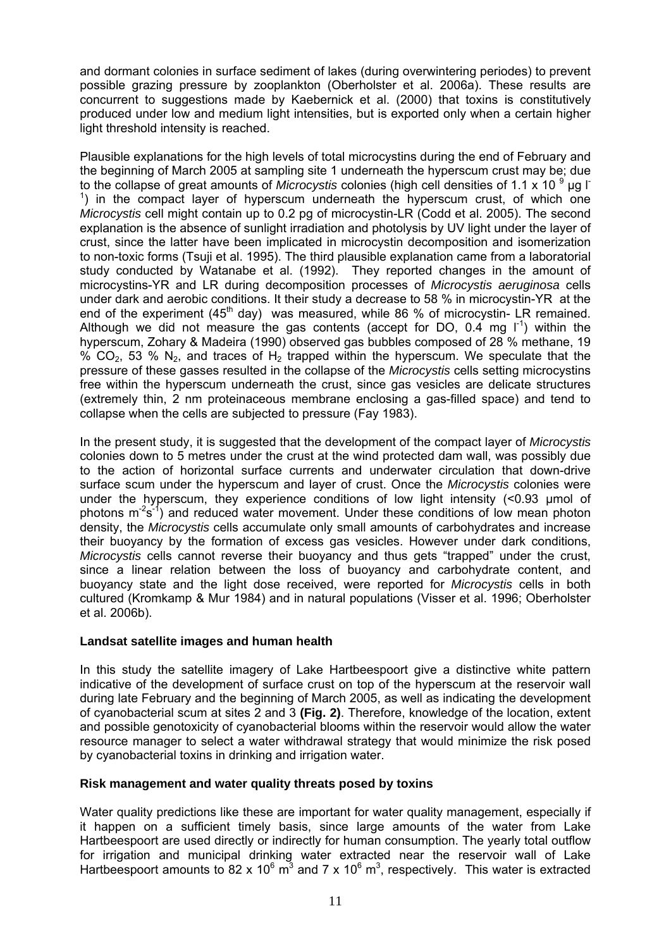and dormant colonies in surface sediment of lakes (during overwintering periodes) to prevent possible grazing pressure by zooplankton (Oberholster et al. 2006a). These results are concurrent to suggestions made by Kaebernick et al. (2000) that toxins is constitutively produced under low and medium light intensities, but is exported only when a certain higher light threshold intensity is reached.

Plausible explanations for the high levels of total microcystins during the end of February and the beginning of March 2005 at sampling site 1 underneath the hyperscum crust may be; due to the collapse of great amounts of *Microcystis* colonies (high cell densities of 1.1 x 10<sup>9</sup> µg l <sup>1</sup>) in the compact layer of hyperscum underneath the hyperscum crust, of which one *Microcystis* cell might contain up to 0.2 pg of microcystin-LR (Codd et al. 2005). The second explanation is the absence of sunlight irradiation and photolysis by UV light under the layer of crust, since the latter have been implicated in microcystin decomposition and isomerization to non-toxic forms (Tsuji et al. 1995). The third plausible explanation came from a laboratorial study conducted by Watanabe et al. (1992). They reported changes in the amount of microcystins-YR and LR during decomposition processes of *Microcystis aeruginosa* cells under dark and aerobic conditions. It their study a decrease to 58 % in microcystin-YR at the end of the experiment  $(45<sup>th</sup>$  day) was measured, while 86 % of microcystin- LR remained. Although we did not measure the gas contents (accept for DO,  $0.4 \text{ mg}$   $1^1$ ) within the hyperscum, Zohary & Madeira (1990) observed gas bubbles composed of 28 % methane, 19 %  $CO<sub>2</sub>$ , 53 % N<sub>2</sub>, and traces of H<sub>2</sub> trapped within the hyperscum. We speculate that the pressure of these gasses resulted in the collapse of the *Microcystis* cells setting microcystins free within the hyperscum underneath the crust, since gas vesicles are delicate structures (extremely thin, 2 nm proteinaceous membrane enclosing a gas-filled space) and tend to collapse when the cells are subjected to pressure (Fay 1983).

In the present study, it is suggested that the development of the compact layer of *Microcystis*  colonies down to 5 metres under the crust at the wind protected dam wall, was possibly due to the action of horizontal surface currents and underwater circulation that down-drive surface scum under the hyperscum and layer of crust. Once the *Microcystis* colonies were under the hyperscum, they experience conditions of low light intensity (<0.93 µmol of photons  $m^2s^1$  and reduced water movement. Under these conditions of low mean photon density, the *Microcystis* cells accumulate only small amounts of carbohydrates and increase their buoyancy by the formation of excess gas vesicles. However under dark conditions, *Microcystis* cells cannot reverse their buoyancy and thus gets "trapped" under the crust, since a linear relation between the loss of buoyancy and carbohydrate content, and buoyancy state and the light dose received, were reported for *Microcystis* cells in both cultured (Kromkamp & Mur 1984) and in natural populations (Visser et al. 1996; Oberholster et al. 2006b).

#### **Landsat satellite images and human health**

In this study the satellite imagery of Lake Hartbeespoort give a distinctive white pattern indicative of the development of surface crust on top of the hyperscum at the reservoir wall during late February and the beginning of March 2005, as well as indicating the development of cyanobacterial scum at sites 2 and 3 **(Fig. 2)**. Therefore, knowledge of the location, extent and possible genotoxicity of cyanobacterial blooms within the reservoir would allow the water resource manager to select a water withdrawal strategy that would minimize the risk posed by cyanobacterial toxins in drinking and irrigation water.

# **Risk management and water quality threats posed by toxins**

Water quality predictions like these are important for water quality management, especially if it happen on a sufficient timely basis, since large amounts of the water from Lake Hartbeespoort are used directly or indirectly for human consumption. The yearly total outflow for irrigation and municipal drinking water extracted near the reservoir wall of Lake Hartbeespoort amounts to 82 x 10 $^6$  m<sup>3</sup> and 7 x 10 $^6$  m<sup>3</sup>, respectively. This water is extracted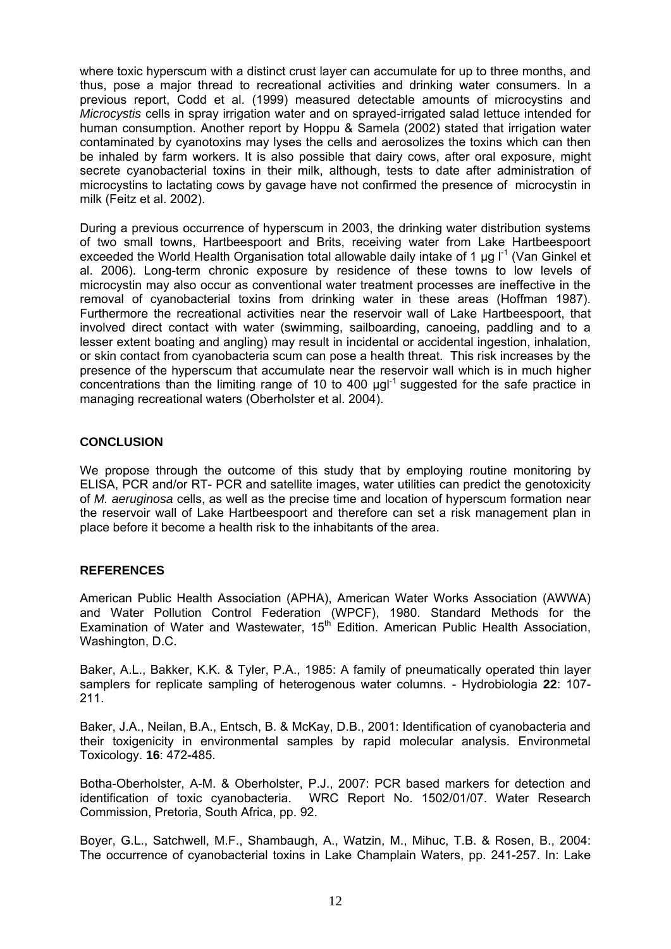where toxic hyperscum with a distinct crust layer can accumulate for up to three months, and thus, pose a major thread to recreational activities and drinking water consumers. In a previous report, Codd et al. (1999) measured detectable amounts of microcystins and *Microcystis* cells in spray irrigation water and on sprayed-irrigated salad lettuce intended for human consumption. Another report by Hoppu & Samela (2002) stated that irrigation water contaminated by cyanotoxins may lyses the cells and aerosolizes the toxins which can then be inhaled by farm workers. It is also possible that dairy cows, after oral exposure, might secrete cyanobacterial toxins in their milk, although, tests to date after administration of microcystins to lactating cows by gavage have not confirmed the presence of microcystin in milk (Feitz et al. 2002).

During a previous occurrence of hyperscum in 2003, the drinking water distribution systems of two small towns, Hartbeespoort and Brits, receiving water from Lake Hartbeespoort exceeded the World Health Organisation total allowable daily intake of 1  $\mu$ g l<sup>-1</sup> (Van Ginkel et al. 2006). Long-term chronic exposure by residence of these towns to low levels of microcystin may also occur as conventional water treatment processes are ineffective in the removal of cyanobacterial toxins from drinking water in these areas (Hoffman 1987). Furthermore the recreational activities near the reservoir wall of Lake Hartbeespoort, that involved direct contact with water (swimming, sailboarding, canoeing, paddling and to a lesser extent boating and angling) may result in incidental or accidental ingestion, inhalation, or skin contact from cyanobacteria scum can pose a health threat. This risk increases by the presence of the hyperscum that accumulate near the reservoir wall which is in much higher concentrations than the limiting range of 10 to 400  $\mu$ gl<sup>-1</sup> suggested for the safe practice in managing recreational waters (Oberholster et al. 2004).

## **CONCLUSION**

We propose through the outcome of this study that by employing routine monitoring by ELISA, PCR and/or RT- PCR and satellite images, water utilities can predict the genotoxicity of *M. aeruginosa* cells, as well as the precise time and location of hyperscum formation near the reservoir wall of Lake Hartbeespoort and therefore can set a risk management plan in place before it become a health risk to the inhabitants of the area.

#### **REFERENCES**

American Public Health Association (APHA), American Water Works Association (AWWA) and Water Pollution Control Federation (WPCF), 1980. Standard Methods for the Examination of Water and Wastewater, 15<sup>th</sup> Edition. American Public Health Association, Washington, D.C.

Baker, A.L., Bakker, K.K. & Tyler, P.A., 1985: A family of pneumatically operated thin layer samplers for replicate sampling of heterogenous water columns. - Hydrobiologia **22**: 107- 211.

Baker, J.A., Neilan, B.A., Entsch, B. & McKay, D.B., 2001: Identification of cyanobacteria and their toxigenicity in environmental samples by rapid molecular analysis. Environmetal Toxicology. **16**: 472-485.

Botha-Oberholster, A-M. & Oberholster, P.J., 2007: PCR based markers for detection and identification of toxic cyanobacteria. WRC Report No. 1502/01/07. Water Research Commission, Pretoria, South Africa, pp. 92.

Boyer, G.L., Satchwell, M.F., Shambaugh, A., Watzin, M., Mihuc, T.B. & Rosen, B., 2004: The occurrence of cyanobacterial toxins in Lake Champlain Waters, pp. 241-257. In: Lake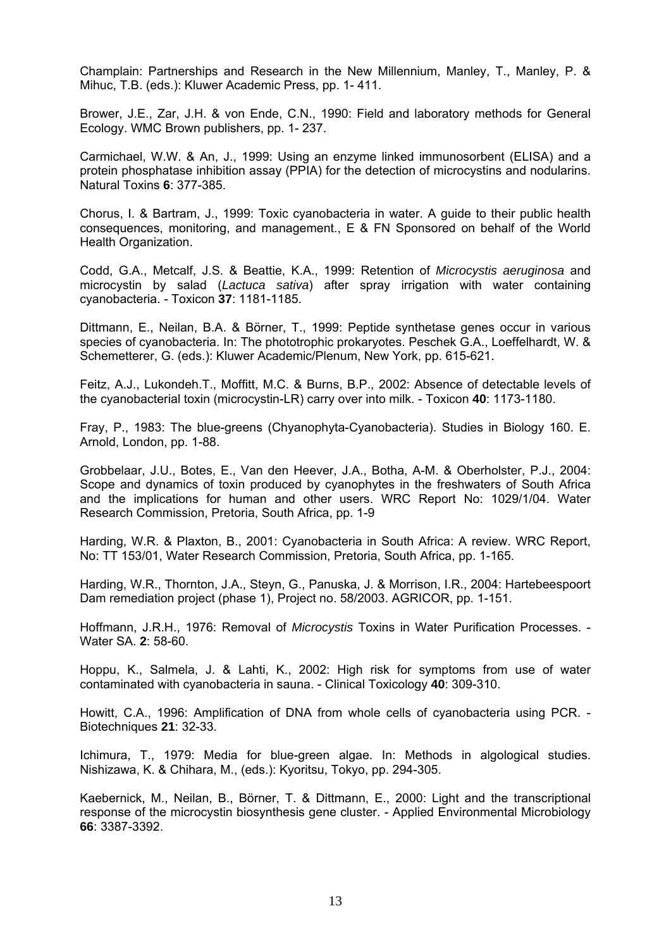Champlain: Partnerships and Research in the New Millennium, Manley, T., Manley, P. & Mihuc, T.B. (eds.): Kluwer Academic Press, pp. 1- 411.

Brower, J.E., Zar, J.H. & von Ende, C.N., 1990: Field and laboratory methods for General Ecology. WMC Brown publishers, pp. 1- 237.

Carmichael, W.W. & An, J., 1999: Using an enzyme linked immunosorbent (ELISA) and a protein phosphatase inhibition assay (PPIA) for the detection of microcystins and nodularins. Natural Toxins **6**: 377-385.

Chorus, I. & Bartram, J., 1999: Toxic cyanobacteria in water. A guide to their public health consequences, monitoring, and management., E & FN Sponsored on behalf of the World Health Organization.

Codd, G.A., Metcalf, J.S. & Beattie, K.A., 1999: Retention of *Microcystis aeruginosa* and microcystin by salad (*Lactuca sativa*) after spray irrigation with water containing cyanobacteria. - Toxicon **37**: 1181-1185.

Dittmann, E., Neilan, B.A. & Börner, T., 1999: Peptide synthetase genes occur in various species of cyanobacteria. In: The phototrophic prokaryotes. Peschek G.A., Loeffelhardt, W. & Schemetterer, G. (eds.): Kluwer Academic/Plenum, New York, pp. 615-621.

Feitz, A.J., Lukondeh.T., Moffitt, M.C. & Burns, B.P., 2002: Absence of detectable levels of the cyanobacterial toxin (microcystin-LR) carry over into milk. - Toxicon **40**: 1173-1180.

Fray, P., 1983: The blue-greens (Chyanophyta-Cyanobacteria). Studies in Biology 160. E. Arnold, London, pp. 1-88.

Grobbelaar, J.U., Botes, E., Van den Heever, J.A., Botha, A-M. & Oberholster, P.J., 2004: Scope and dynamics of toxin produced by cyanophytes in the freshwaters of South Africa and the implications for human and other users. WRC Report No: 1029/1/04. Water Research Commission, Pretoria, South Africa, pp. 1-9

Harding, W.R. & Plaxton, B., 2001: Cyanobacteria in South Africa: A review. WRC Report, No: TT 153/01, Water Research Commission, Pretoria, South Africa, pp. 1-165.

Harding, W.R., Thornton, J.A., Steyn, G., Panuska, J. & Morrison, I.R., 2004: Hartebeespoort Dam remediation project (phase 1), Project no. 58/2003. AGRICOR, pp. 1-151.

Hoffmann, J.R.H., 1976: Removal of *Microcystis* Toxins in Water Purification Processes. - Water SA. **2**: 58-60.

Hoppu, K., Salmela, J. & Lahti, K., 2002: High risk for symptoms from use of water contaminated with cyanobacteria in sauna. - Clinical Toxicology **40**: 309-310.

Howitt, C.A., 1996: Amplification of DNA from whole cells of cyanobacteria using PCR. - Biotechniques **21**: 32-33.

Ichimura, T., 1979: Media for blue-green algae. In: Methods in algological studies. Nishizawa, K. & Chihara, M., (eds.): Kyoritsu, Tokyo, pp. 294-305.

Kaebernick, M., Neilan, B., Börner, T. & Dittmann, E., 2000: Light and the transcriptional response of the microcystin biosynthesis gene cluster. - Applied Environmental Microbiology **66**: 3387-3392.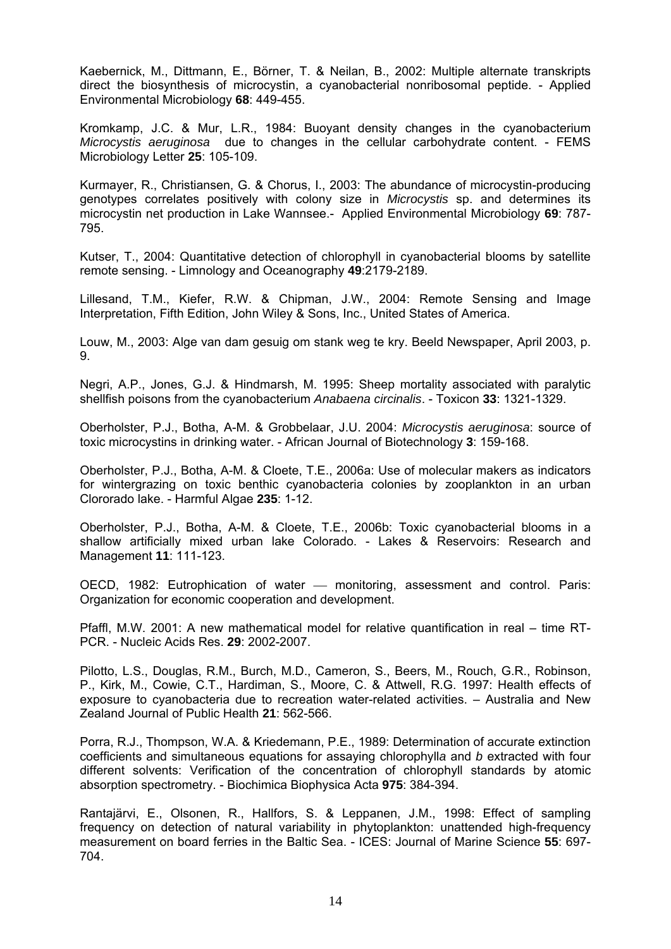Kaebernick, M., Dittmann, E., Börner, T. & Neilan, B., 2002: Multiple alternate transkripts direct the biosynthesis of microcystin, a cyanobacterial nonribosomal peptide. - Applied Environmental Microbiology **68**: 449-455.

Kromkamp, J.C. & Mur, L.R., 1984: Buoyant density changes in the cyanobacterium *Microcystis aeruginosa* due to changes in the cellular carbohydrate content. - FEMS Microbiology Letter **25**: 105-109.

Kurmayer, R., Christiansen, G. & Chorus, I., 2003: The abundance of microcystin-producing genotypes correlates positively with colony size in *Microcystis* sp. and determines its microcystin net production in Lake Wannsee.- Applied Environmental Microbiology **69**: 787- 795.

Kutser, T., 2004: Quantitative detection of chlorophyll in cyanobacterial blooms by satellite remote sensing. - Limnology and Oceanography **49**:2179-2189.

Lillesand, T.M., Kiefer, R.W. & Chipman, J.W., 2004: Remote Sensing and Image Interpretation, Fifth Edition, John Wiley & Sons, Inc., United States of America.

Louw, M., 2003: Alge van dam gesuig om stank weg te kry. Beeld Newspaper, April 2003, p. 9.

Negri, A.P., Jones, G.J. & Hindmarsh, M. 1995: Sheep mortality associated with paralytic shellfish poisons from the cyanobacterium *Anabaena circinalis*. - Toxicon **33**: 1321-1329.

Oberholster, P.J., Botha, A-M. & Grobbelaar, J.U. 2004: *Microcystis aeruginosa*: source of toxic microcystins in drinking water. - African Journal of Biotechnology **3**: 159-168.

Oberholster, P.J., Botha, A-M. & Cloete, T.E., 2006a: Use of molecular makers as indicators for wintergrazing on toxic benthic cyanobacteria colonies by zooplankton in an urban Clororado lake. - Harmful Algae **235**: 1-12.

Oberholster, P.J., Botha, A-M. & Cloete, T.E., 2006b: Toxic cyanobacterial blooms in a shallow artificially mixed urban lake Colorado. - Lakes & Reservoirs: Research and Management **11**: 111-123.

OECD, 1982: Eutrophication of water — monitoring, assessment and control. Paris: Organization for economic cooperation and development.

Pfaffl, M.W. 2001: A new mathematical model for relative quantification in real – time RT-PCR. - Nucleic Acids Res. **29**: 2002-2007.

Pilotto, L.S., Douglas, R.M., Burch, M.D., Cameron, S., Beers, M., Rouch, G.R., Robinson, P., Kirk, M., Cowie, C.T., Hardiman, S., Moore, C. & Attwell, R.G. 1997: Health effects of exposure to cyanobacteria due to recreation water-related activities. – Australia and New Zealand Journal of Public Health **21**: 562-566.

Porra, R.J., Thompson, W.A. & Kriedemann, P.E., 1989: Determination of accurate extinction coefficients and simultaneous equations for assaying chlorophyll*a* and *b* extracted with four different solvents: Verification of the concentration of chlorophyll standards by atomic absorption spectrometry. - Biochimica Biophysica Acta **975**: 384-394.

Rantajärvi, E., Olsonen, R., Hallfors, S. & Leppanen, J.M., 1998: Effect of sampling frequency on detection of natural variability in phytoplankton: unattended high-frequency measurement on board ferries in the Baltic Sea. - ICES: Journal of Marine Science **55**: 697- 704.